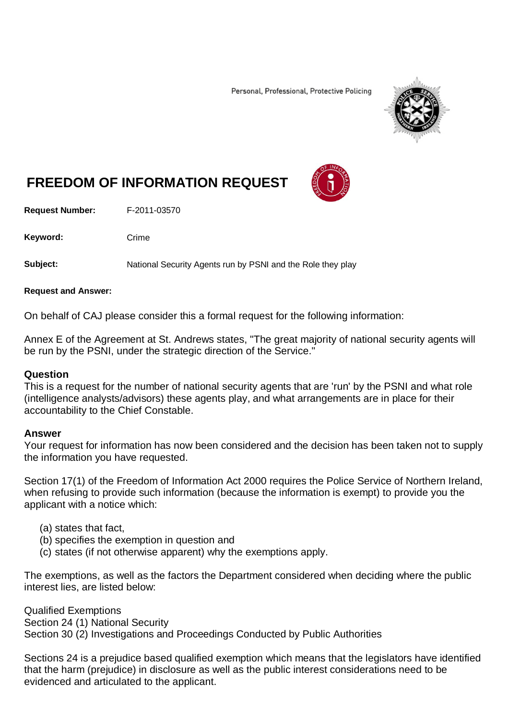Personal, Professional, Protective Policing



# **FREEDOM OF INFORMATION REQUEST**

**Request Number:** F-2011-03570

Keyword: Crime

**Subject:** National Security Agents run by PSNI and the Role they play

#### **Request and Answer:**

On behalf of CAJ please consider this a formal request for the following information:

Annex E of the Agreement at St. Andrews states, "The great majority of national security agents will be run by the PSNI, under the strategic direction of the Service."

#### **Question**

This is a request for the number of national security agents that are 'run' by the PSNI and what role (intelligence analysts/advisors) these agents play, and what arrangements are in place for their accountability to the Chief Constable.

#### **Answer**

Your request for information has now been considered and the decision has been taken not to supply the information you have requested.

Section 17(1) of the Freedom of Information Act 2000 requires the Police Service of Northern Ireland, when refusing to provide such information (because the information is exempt) to provide you the applicant with a notice which:

- (a) states that fact,
- (b) specifies the exemption in question and
- (c) states (if not otherwise apparent) why the exemptions apply.

The exemptions, as well as the factors the Department considered when deciding where the public interest lies, are listed below:

Qualified Exemptions Section 24 (1) National Security Section 30 (2) Investigations and Proceedings Conducted by Public Authorities

Sections 24 is a prejudice based qualified exemption which means that the legislators have identified that the harm (prejudice) in disclosure as well as the public interest considerations need to be evidenced and articulated to the applicant.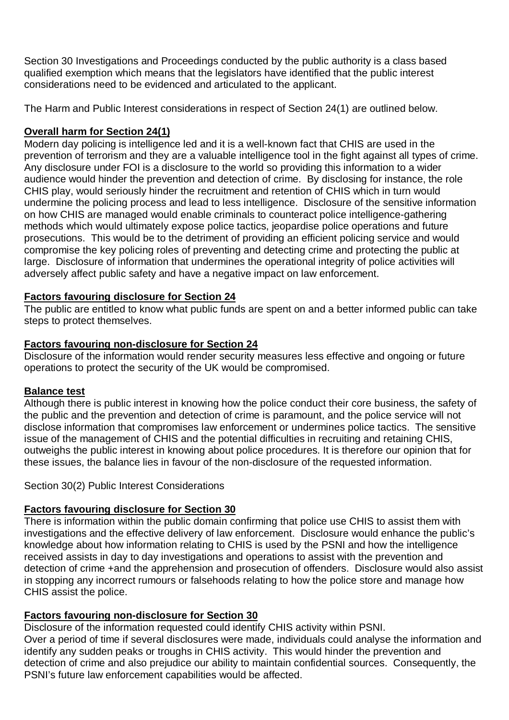Section 30 Investigations and Proceedings conducted by the public authority is a class based qualified exemption which means that the legislators have identified that the public interest considerations need to be evidenced and articulated to the applicant.

The Harm and Public Interest considerations in respect of Section 24(1) are outlined below.

## **Overall harm for Section 24(1)**

Modern day policing is intelligence led and it is a well-known fact that CHIS are used in the prevention of terrorism and they are a valuable intelligence tool in the fight against all types of crime. Any disclosure under FOI is a disclosure to the world so providing this information to a wider audience would hinder the prevention and detection of crime. By disclosing for instance, the role CHIS play, would seriously hinder the recruitment and retention of CHIS which in turn would undermine the policing process and lead to less intelligence. Disclosure of the sensitive information on how CHIS are managed would enable criminals to counteract police intelligence-gathering methods which would ultimately expose police tactics, jeopardise police operations and future prosecutions. This would be to the detriment of providing an efficient policing service and would compromise the key policing roles of preventing and detecting crime and protecting the public at large. Disclosure of information that undermines the operational integrity of police activities will adversely affect public safety and have a negative impact on law enforcement.

## **Factors favouring disclosure for Section 24**

The public are entitled to know what public funds are spent on and a better informed public can take steps to protect themselves.

## **Factors favouring non-disclosure for Section 24**

Disclosure of the information would render security measures less effective and ongoing or future operations to protect the security of the UK would be compromised.

## **Balance test**

Although there is public interest in knowing how the police conduct their core business, the safety of the public and the prevention and detection of crime is paramount, and the police service will not disclose information that compromises law enforcement or undermines police tactics. The sensitive issue of the management of CHIS and the potential difficulties in recruiting and retaining CHIS, outweighs the public interest in knowing about police procedures. It is therefore our opinion that for these issues, the balance lies in favour of the non-disclosure of the requested information.

Section 30(2) Public Interest Considerations

## **Factors favouring disclosure for Section 30**

There is information within the public domain confirming that police use CHIS to assist them with investigations and the effective delivery of law enforcement. Disclosure would enhance the public's knowledge about how information relating to CHIS is used by the PSNI and how the intelligence received assists in day to day investigations and operations to assist with the prevention and detection of crime +and the apprehension and prosecution of offenders. Disclosure would also assist in stopping any incorrect rumours or falsehoods relating to how the police store and manage how CHIS assist the police.

## **Factors favouring non-disclosure for Section 30**

Disclosure of the information requested could identify CHIS activity within PSNI. Over a period of time if several disclosures were made, individuals could analyse the information and identify any sudden peaks or troughs in CHIS activity. This would hinder the prevention and detection of crime and also prejudice our ability to maintain confidential sources. Consequently, the PSNI's future law enforcement capabilities would be affected.